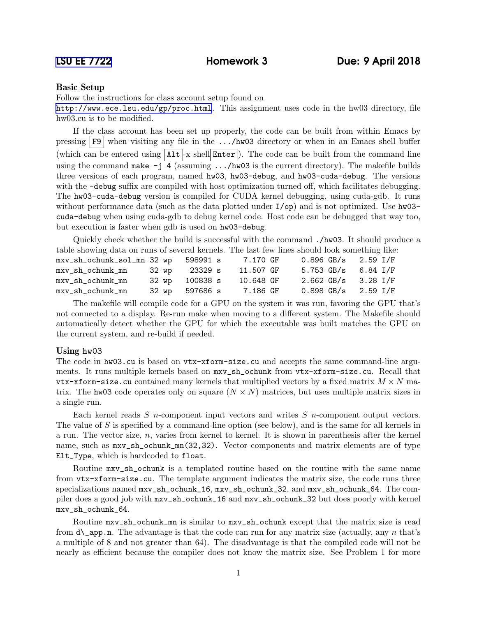## Basic Setup

Follow the instructions for class account setup found on

<http://www.ece.lsu.edu/gp/proc.html>. This assignment uses code in the hw03 directory, file hw03.cu is to be modified.

If the class account has been set up properly, the code can be built from within Emacs by pressing  $\boxed{F9}$  when visiting any file in the .../hw03 directory or when in an Emacs shell buffer (which can be entered using  $\lceil \text{Alt} \rceil$  x shell Enter ). The code can be built from the command line using the command make  $-i$  4 (assuming .../hw03 is the current directory). The makefile builds three versions of each program, named hw03, hw03-debug, and hw03-cuda-debug. The versions with the -debug suffix are compiled with host optimization turned off, which facilitates debugging. The hw03-cuda-debug version is compiled for CUDA kernel debugging, using cuda-gdb. It runs without performance data (such as the data plotted under  $I$ /op) and is not optimized. Use hw03cuda-debug when using cuda-gdb to debug kernel code. Host code can be debugged that way too, but execution is faster when gdb is used on hw03-debug.

Quickly check whether the build is successful with the command ./hw03. It should produce a table showing data on runs of several kernels. The last few lines should look something like:

| mxv_sh_ochunk_sol_mn 32 wp 598991 s |                | 7.170 GF  |  | $0.896$ GB/s $2.59$ I/F |  |
|-------------------------------------|----------------|-----------|--|-------------------------|--|
| mxv_sh_ochunk_mn                    | 32 wp 23329 s  | 11.507 GF |  | 5.753 GB/s 6.84 I/F     |  |
| mxv_sh_ochunk_mn                    | 32 wp 100838 s | 10.648 GF |  | $2.662$ GB/s $3.28$ I/F |  |
| mxv_sh_ochunk_mn                    | 32 wp 597686 s | 7.186 GF  |  | $0.898$ GB/s $2.59$ I/F |  |

The makefile will compile code for a GPU on the system it was run, favoring the GPU that's not connected to a display. Re-run make when moving to a different system. The Makefile should automatically detect whether the GPU for which the executable was built matches the GPU on the current system, and re-build if needed.

## Using hw03

The code in hw03.cu is based on vtx-xform-size.cu and accepts the same command-line arguments. It runs multiple kernels based on mxv\_sh\_ochunk from vtx-xform-size.cu. Recall that vtx-xform-size.cu contained many kernels that multiplied vectors by a fixed matrix  $M \times N$  matrix. The hw03 code operates only on square  $(N \times N)$  matrices, but uses multiple matrix sizes in a single run.

Each kernel reads  $S$  n-component input vectors and writes  $S$  n-component output vectors. The value of S is specified by a command-line option (see below), and is the same for all kernels in a run. The vector size,  $n$ , varies from kernel to kernel. It is shown in parenthesis after the kernel name, such as  $mxv_sh_ochunk_mn(32,32)$ . Vector components and matrix elements are of type Elt\_Type, which is hardcoded to float.

Routine mxv\_sh\_ochunk is a templated routine based on the routine with the same name from vtx-xform-size.cu. The template argument indicates the matrix size, the code runs three specializations named mxv\_sh\_ochunk\_16, mxv\_sh\_ochunk\_32, and mxv\_sh\_ochunk\_64. The compiler does a good job with mxv\_sh\_ochunk\_16 and mxv\_sh\_ochunk\_32 but does poorly with kernel mxv\_sh\_ochunk\_64.

Routine mxv\_sh\_ochunk\_mn is similar to mxv\_sh\_ochunk except that the matrix size is read from  $d$  app.n. The advantage is that the code can run for any matrix size (actually, any n that's a multiple of 8 and not greater than 64). The disadvantage is that the compiled code will not be nearly as efficient because the compiler does not know the matrix size. See Problem 1 for more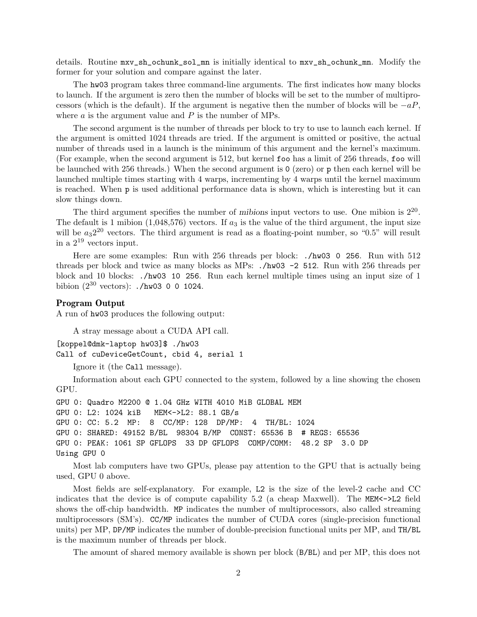details. Routine mxv\_sh\_ochunk\_sol\_mn is initially identical to mxv\_sh\_ochunk\_mn. Modify the former for your solution and compare against the later.

The hw03 program takes three command-line arguments. The first indicates how many blocks to launch. If the argument is zero then the number of blocks will be set to the number of multiprocessors (which is the default). If the argument is negative then the number of blocks will be  $-aP$ , where  $a$  is the argument value and  $P$  is the number of MPs.

The second argument is the number of threads per block to try to use to launch each kernel. If the argument is omitted 1024 threads are tried. If the argument is omitted or positive, the actual number of threads used in a launch is the minimum of this argument and the kernel's maximum. (For example, when the second argument is 512, but kernel foo has a limit of 256 threads, foo will be launched with 256 threads.) When the second argument is 0 (zero) or p then each kernel will be launched multiple times starting with 4 warps, incrementing by 4 warps until the kernel maximum is reached. When p is used additional performance data is shown, which is interesting but it can slow things down.

The third argument specifies the number of mibions input vectors to use. One mibion is  $2^{20}$ . The default is 1 mibion  $(1,048,576)$  vectors. If  $a_3$  is the value of the third argument, the input size will be  $a_3 2^{20}$  vectors. The third argument is read as a floating-point number, so "0.5" will result in a  $2^{19}$  vectors input.

Here are some examples: Run with 256 threads per block: ./hw03 0 256. Run with 512 threads per block and twice as many blocks as MPs: ./hw03 -2 512. Run with 256 threads per block and 10 blocks: ./hw03 10 256. Run each kernel multiple times using an input size of 1 bibion  $(2^{30} \text{ vectors})$ : ./hw03 0 0 1024.

## Program Output

A run of hw03 produces the following output:

A stray message about a CUDA API call.

```
[koppel@dmk-laptop hw03]$ ./hw03
Call of cuDeviceGetCount, cbid 4, serial 1
```

```
Ignore it (the Call message).
```
Information about each GPU connected to the system, followed by a line showing the chosen GPU.

```
GPU 0: Quadro M2200 @ 1.04 GHz WITH 4010 MiB GLOBAL MEM
GPU 0: L2: 1024 kiB MEM<->L2: 88.1 GB/s
GPU 0: CC: 5.2 MP: 8 CC/MP: 128 DP/MP: 4 TH/BL: 1024
GPU 0: SHARED: 49152 B/BL 98304 B/MP CONST: 65536 B # REGS: 65536
GPU 0: PEAK: 1061 SP GFLOPS 33 DP GFLOPS COMP/COMM: 48.2 SP 3.0 DP
Using GPU 0
```
Most lab computers have two GPUs, please pay attention to the GPU that is actually being used, GPU 0 above.

Most fields are self-explanatory. For example, L2 is the size of the level-2 cache and CC indicates that the device is of compute capability 5.2 (a cheap Maxwell). The MEM<->L2 field shows the off-chip bandwidth. MP indicates the number of multiprocessors, also called streaming multiprocessors (SM's). CC/MP indicates the number of CUDA cores (single-precision functional units) per MP, DP/MP indicates the number of double-precision functional units per MP, and TH/BL is the maximum number of threads per block.

The amount of shared memory available is shown per block (B/BL) and per MP, this does not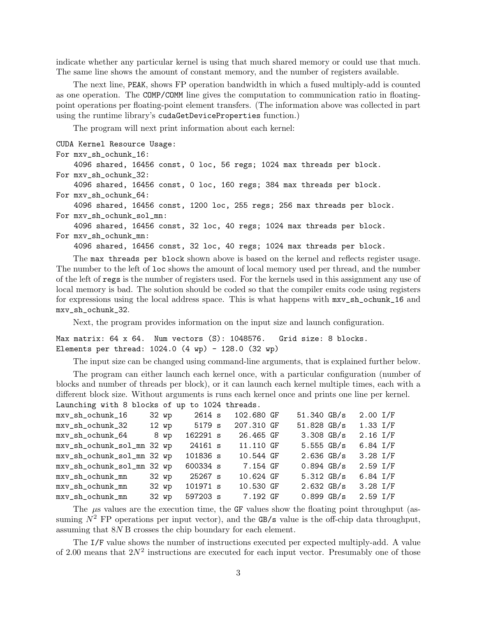indicate whether any particular kernel is using that much shared memory or could use that much. The same line shows the amount of constant memory, and the number of registers available.

The next line, PEAK, shows FP operation bandwidth in which a fused multiply-add is counted as one operation. The COMP/COMM line gives the computation to communication ratio in floatingpoint operations per floating-point element transfers. (The information above was collected in part using the runtime library's cudaGetDeviceProperties function.)

The program will next print information about each kernel:

CUDA Kernel Resource Usage: For mxv\_sh\_ochunk\_16: 4096 shared, 16456 const, 0 loc, 56 regs; 1024 max threads per block. For mxv\_sh\_ochunk\_32: 4096 shared, 16456 const, 0 loc, 160 regs; 384 max threads per block. For mxv\_sh\_ochunk\_64: 4096 shared, 16456 const, 1200 loc, 255 regs; 256 max threads per block. For mxv\_sh\_ochunk\_sol\_mn:

4096 shared, 16456 const, 32 loc, 40 regs; 1024 max threads per block. For mxv\_sh\_ochunk\_mn:

4096 shared, 16456 const, 32 loc, 40 regs; 1024 max threads per block.

The max threads per block shown above is based on the kernel and reflects register usage. The number to the left of loc shows the amount of local memory used per thread, and the number of the left of regs is the number of registers used. For the kernels used in this assignment any use of local memory is bad. The solution should be coded so that the compiler emits code using registers for expressions using the local address space. This is what happens with mxv\_sh\_ochunk\_16 and mxv\_sh\_ochunk\_32.

Next, the program provides information on the input size and launch configuration.

Max matrix: 64 x 64. Num vectors (S): 1048576. Grid size: 8 blocks. Elements per thread:  $1024.0$  (4 wp) -  $128.0$  (32 wp)

The input size can be changed using command-line arguments, that is explained further below.

The program can either launch each kernel once, with a particular configuration (number of blocks and number of threads per block), or it can launch each kernel multiple times, each with a different block size. Without arguments is runs each kernel once and prints one line per kernel. Launching with 8 blocks of up to 1024 threads.

| mxv_sh_ochunk_16           |       | 32 wp   | 2614 s   | 102.680 GF | 51.340 GB/s          | $2.00$ I/F   |  |
|----------------------------|-------|---------|----------|------------|----------------------|--------------|--|
| mxv_sh_ochunk_32           |       | $12$ wp | 5179 s   | 207.310 GF | 51.828 GB/s          | $1.33$ $I/F$ |  |
| mxv_sh_ochunk_64           |       | 8 wp    | 162291 s | 26.465 GF  | $3.308$ GB/s         | $2.16$ I/F   |  |
| mxv_sh_ochunk_sol_mn 32 wp |       |         | 24161 s  | 11.110 GF  | $5.555$ GB/s         | $6.84$ I/F   |  |
| mxv_sh_ochunk_sol_mn 32 wp |       |         | 101836 s | 10.544 GF  | $2.636$ GB/s         | $3.28$ I/F   |  |
| mxv_sh_ochunk_sol_mn 32 wp |       |         | 600334 s | 7.154 GF   | $0.894$ GB/s         | $2.59$ $I/F$ |  |
| mxv_sh_ochunk_mn           | 32 wp |         | 25267 s  | 10.624 GF  | $5.312 \text{ GB/s}$ | 6.84 I/F     |  |
| mxv_sh_ochunk_mn           | 32 wp |         | 101971 s | 10.530 GF  | $2.632$ GB/s         | $3.28$ I/F   |  |
| mxv_sh_ochunk_mn           |       | 32 wp   | 597203 s | 7.192 GF   | $0.899$ GB/s         | $2.59$ $I/F$ |  |

The  $\mu$ s values are the execution time, the GF values show the floating point throughput (assuming  $N^2$  FP operations per input vector), and the GB/s value is the off-chip data throughput, assuming that 8N B crosses the chip boundary for each element.

The I/F value shows the number of instructions executed per expected multiply-add. A value of 2.00 means that  $2N^2$  instructions are executed for each input vector. Presumably one of those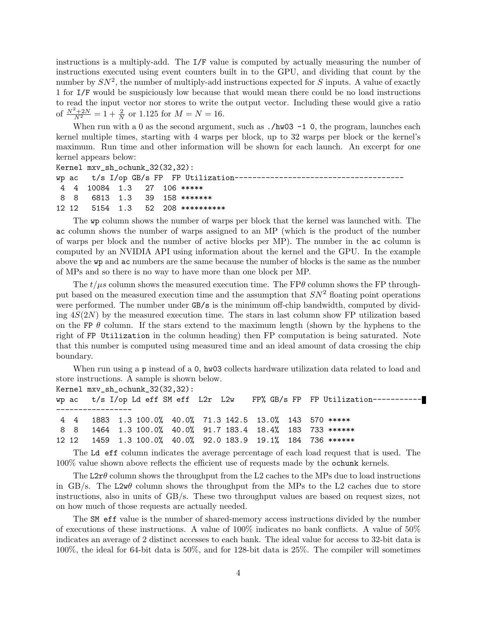instructions is a multiply-add. The I/F value is computed by actually measuring the number of instructions executed using event counters built in to the GPU, and dividing that count by the number by  $SN^2$ , the number of multiply-add instructions expected for S inputs. A value of exactly 1 for I/F would be suspiciously low because that would mean there could be no load instructions to read the input vector nor stores to write the output vector. Including these would give a ratio of  $\frac{N^2+2N}{N^2}=1+\frac{2}{N}$  or 1.125 for  $M=N=16$ .

When run with a 0 as the second argument, such as  $./hw03 -1$  0, the program, launches each kernel multiple times, starting with 4 warps per block, up to 32 warps per block or the kernel's maximum. Run time and other information will be shown for each launch. An excerpt for one kernel appears below:

```
Kernel mxv_sh_ochunk_32(32,32):
wp ac t/s I/op GB/s FP FP Utilization------------
4 4 10084 1.3 27 106 *****
8 8 6813 1.3 39 158 *******
12 12 5154 1.3 52 208 **********
```
The wp column shows the number of warps per block that the kernel was launched with. The ac column shows the number of warps assigned to an MP (which is the product of the number of warps per block and the number of active blocks per MP). The number in the ac column is computed by an NVIDIA API using information about the kernel and the GPU. In the example above the wp and ac numbers are the same because the number of blocks is the same as the number of MPs and so there is no way to have more than one block per MP.

The  $t/\mu s$  column shows the measured execution time. The FP $\theta$  column shows the FP throughput based on the measured execution time and the assumption that  $SN^2$  floating point operations were performed. The number under GB/s is the minimum off-chip bandwidth, computed by dividing  $4S(2N)$  by the measured execution time. The stars in last column show FP utilization based on the FP  $\theta$  column. If the stars extend to the maximum length (shown by the hyphens to the right of FP Utilization in the column heading) then FP computation is being saturated. Note that this number is computed using measured time and an ideal amount of data crossing the chip boundary.

When run using a p instead of a 0, hw03 collects hardware utilization data related to load and store instructions. A sample is shown below.

Kernel mxv\_sh\_ochunk\_32(32,32):

wp ac t/s I/op Ld eff SM eff L2r L2w FP% GB/s FP FP Utilization---------------------------- 4 4 1883 1.3 100.0% 40.0% 71.3 142.5 13.0% 143 570 \*\*\*\*\* 8 8 1464 1.3 100.0% 40.0% 91.7 183.4 18.4% 183 733 \*\*\*\*\*\* 12 12 1459 1.3 100.0% 40.0% 92.0 183.9 19.1% 184 736 \*\*\*\*\*\*

The Ld eff column indicates the average percentage of each load request that is used. The 100% value shown above reflects the efficient use of requests made by the ochunk kernels.

The L2r $\theta$  column shows the throughput from the L2 caches to the MPs due to load instructions in GB/s. The L2w $\theta$  column shows the throughput from the MPs to the L2 caches due to store instructions, also in units of GB/s. These two throughput values are based on request sizes, not on how much of those requests are actually needed.

The SM eff value is the number of shared-memory access instructions divided by the number of executions of these instructions. A value of 100% indicates no bank conflicts. A value of 50% indicates an average of 2 distinct accesses to each bank. The ideal value for access to 32-bit data is 100%, the ideal for 64-bit data is 50%, and for 128-bit data is 25%. The compiler will sometimes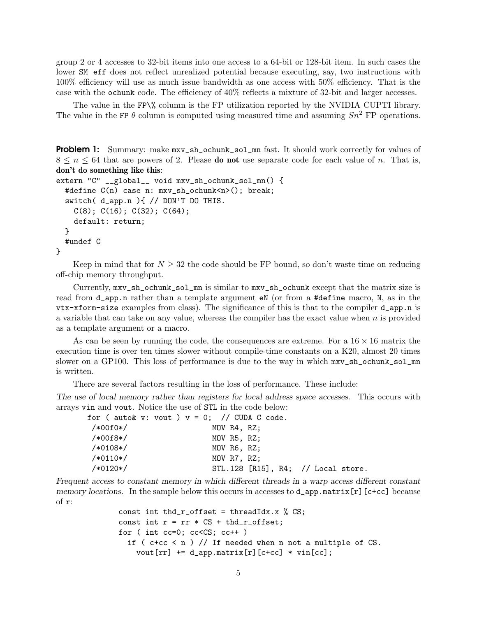group 2 or 4 accesses to 32-bit items into one access to a 64-bit or 128-bit item. In such cases the lower SM eff does not reflect unrealized potential because executing, say, two instructions with 100% efficiency will use as much issue bandwidth as one access with 50% efficiency. That is the case with the ochunk code. The efficiency of 40% reflects a mixture of 32-bit and larger accesses.

The value in the FP\% column is the FP utilization reported by the NVIDIA CUPTI library. The value in the FP  $\theta$  column is computed using measured time and assuming  $Sn^2$  FP operations.

```
Problem 1: Summary: make mxv-sh_ochunk\_sol\_mn fast. It should work correctly for values of
8 \leq n \leq 64 that are powers of 2. Please do not use separate code for each value of n. That is,
don't do something like this:
```

```
extern "C" __global__ void mxv_sh_ochunk_sol_mn() {
  #define C(n) case n: mxv_sh_ochunk<n>(); break;
  switch( d_app.n ){ // DON'T DO THIS.
    C(8); C(16); C(32); C(64);
    default: return;
  }
  #undef C
}
```
Keep in mind that for  $N \geq 32$  the code should be FP bound, so don't waste time on reducing off-chip memory throughput.

Currently, mxv\_sh\_ochunk\_sol\_mn is similar to mxv\_sh\_ochunk except that the matrix size is read from d\_app.n rather than a template argument eN (or from a #define macro, N, as in the vtx-xform-size examples from class). The significance of this is that to the compiler d\_app.n is a variable that can take on any value, whereas the compiler has the exact value when  $n$  is provided as a template argument or a macro.

As can be seen by running the code, the consequences are extreme. For a  $16 \times 16$  matrix the execution time is over ten times slower without compile-time constants on a K20, almost 20 times slower on a GP100. This loss of performance is due to the way in which  $mxv$ \_sh\_ochunk\_sol\_mn is written.

There are several factors resulting in the loss of performance. These include:

The use of local memory rather than registers for local address space accesses. This occurs with arrays vin and vout. Notice the use of STL in the code below:

| /*00f0*/<br>MOV R4, RZ;                          |  |
|--------------------------------------------------|--|
| /*00f8*/<br>MOV R5, RZ;                          |  |
| /*0108*/<br>MOV R6, RZ;                          |  |
| /*0110*/<br>MOV R7, RZ:                          |  |
| /*0120*/<br>$STL.128$ [R15], R4; // Local store. |  |

Frequent access to constant memory in which different threads in a warp access different constant memory locations. In the sample below this occurs in accesses to **d\_app**.matrix[r][c+cc] because of r:

```
const int thd_r_offset = threadIdx.x % CS;
const int r = rr * CS + thd_r_offset;for ( int cc=0; cc < CS; cc++ )
 if (ctcc < n) // If needed when n not a multiple of CS.
    vout[rr] += d_app.matrix[r][c+cc] * vin[cc];
```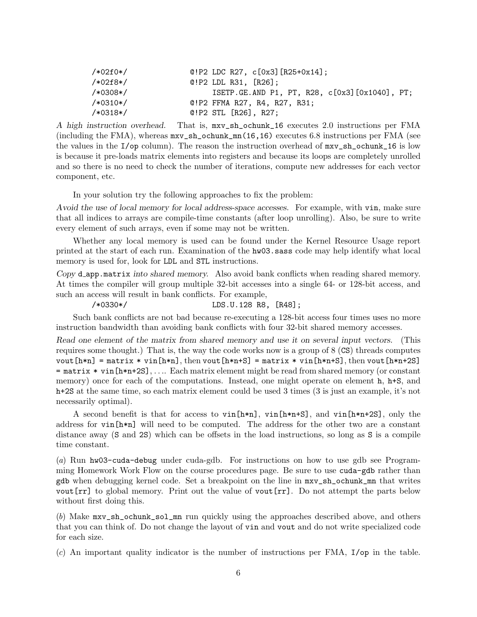| $/*02f0*/$ | $Q!P2$ LDC R27, $c[0x3]$ [R25+0x14];             |
|------------|--------------------------------------------------|
| $/*02f8*/$ | $Q!P2$ LDL R31, $[R26]$ :                        |
| $/*0308*/$ | ISETP.GE.AND P1, PT, R28, $c[0x3]$ [0x1040], PT; |
| $/*0310*/$ | @!P2 FFMA R27, R4, R27, R31;                     |
| $/*0318*/$ | $Q!P2$ STL $[R26]$ , R27;                        |

A high instruction overhead. That is, mxv\_sh\_ochunk\_16 executes 2.0 instructions per FMA (including the FMA), whereas  $mxv\_sh\_ochunk\_mn(16,16)$  executes 6.8 instructions per FMA (see the values in the I/op column). The reason the instruction overhead of mxv\_sh\_ochunk\_16 is low is because it pre-loads matrix elements into registers and because its loops are completely unrolled and so there is no need to check the number of iterations, compute new addresses for each vector component, etc.

In your solution try the following approaches to fix the problem:

Avoid the use of local memory for local address-space accesses. For example, with vin, make sure that all indices to arrays are compile-time constants (after loop unrolling). Also, be sure to write every element of such arrays, even if some may not be written.

Whether any local memory is used can be found under the Kernel Resource Usage report printed at the start of each run. Examination of the hw03.sass code may help identify what local memory is used for, look for LDL and STL instructions.

Copy d app.matrix into shared memory. Also avoid bank conflicts when reading shared memory. At times the compiler will group multiple 32-bit accesses into a single 64- or 128-bit access, and such an access will result in bank conflicts. For example,

/\*0330\*/ LDS.U.128 R8, [R48];

Such bank conflicts are not bad because re-executing a 128-bit access four times uses no more instruction bandwidth than avoiding bank conflicts with four 32-bit shared memory accesses.

Read one element of the matrix from shared memory and use it on several input vectors. (This requires some thought.) That is, the way the code works now is a group of 8 (CS) threads computes vout $[h*n] = matrix * vin[h*n], then$  vout $[h*n+s] = matrix * vin[h*n+s], then$  vout $[h*n+s]$ = matrix \* vin[h\*n+2S], . . .. Each matrix element might be read from shared memory (or constant memory) once for each of the computations. Instead, one might operate on element h, h+S, and h+2S at the same time, so each matrix element could be used 3 times (3 is just an example, it's not necessarily optimal).

A second benefit is that for access to vin[h\*n], vin[h\*n+S], and vin[h\*n+2S], only the address for vin[h\*n] will need to be computed. The address for the other two are a constant distance away (S and 2S) which can be offsets in the load instructions, so long as S is a compile time constant.

(a) Run hw03-cuda-debug under cuda-gdb. For instructions on how to use gdb see Programming Homework Work Flow on the course procedures page. Be sure to use cuda-gdb rather than gdb when debugging kernel code. Set a breakpoint on the line in mxv\_sh\_ochunk\_mn that writes vout[rr] to global memory. Print out the value of vout[rr]. Do not attempt the parts below without first doing this.

(b) Make mxv\_sh\_ochunk\_sol\_mn run quickly using the approaches described above, and others that you can think of. Do not change the layout of vin and vout and do not write specialized code for each size.

(c) An important quality indicator is the number of instructions per FMA, I/op in the table.